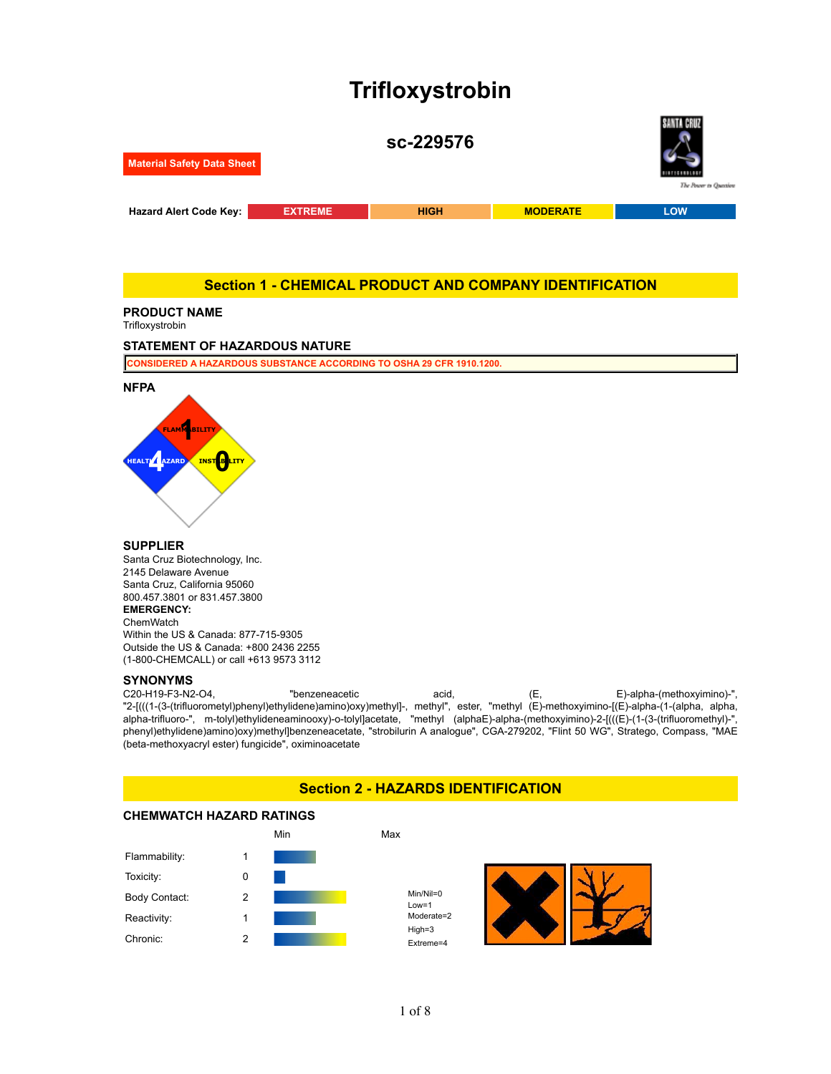# **Trifloxystrobin**



## **Section 1 - CHEMICAL PRODUCT AND COMPANY IDENTIFICATION**

## **PRODUCT NAME**

Trifloxystrobin

#### **STATEMENT OF HAZARDOUS NATURE**

**CONSIDERED A HAZARDOUS SUBSTANCE ACCORDING TO OSHA 29 CFR 1910.1200.**



## **SUPPLIER**

Santa Cruz Biotechnology, Inc. 2145 Delaware Avenue Santa Cruz, California 95060 800.457.3801 or 831.457.3800 **EMERGENCY: ChemWatch** Within the US & Canada: 877-715-9305 Outside the US & Canada: +800 2436 2255 (1-800-CHEMCALL) or call +613 9573 3112

#### **SYNONYMS**

C20-H19-F3-N2-O4, "benzeneacetic acid, (E, E)-alpha-(methoxyimino)-", "2-[(((1-(3-(trifluorometyl)phenyl)ethylidene)amino)oxy)methyl]-, methyl", ester, "methyl (E)-methoxyimino-[(E)-alpha-(1-(alpha, alpha, alpha-trifluoro-", m-tolyl)ethylideneaminooxy)-o-tolyl]acetate, "methyl (alphaE)-alpha-(methoxyimino)-2-[(((E)-(1-(3-(trifluoromethyl)-", phenyl)ethylidene)amino)oxy)methyl]benzeneacetate, "strobilurin A analogue", CGA-279202, "Flint 50 WG", Stratego, Compass, "MAE (beta-methoxyacryl ester) fungicide", oximinoacetate

## **Section 2 - HAZARDS IDENTIFICATION**

## **CHEMWATCH HAZARD RATINGS**

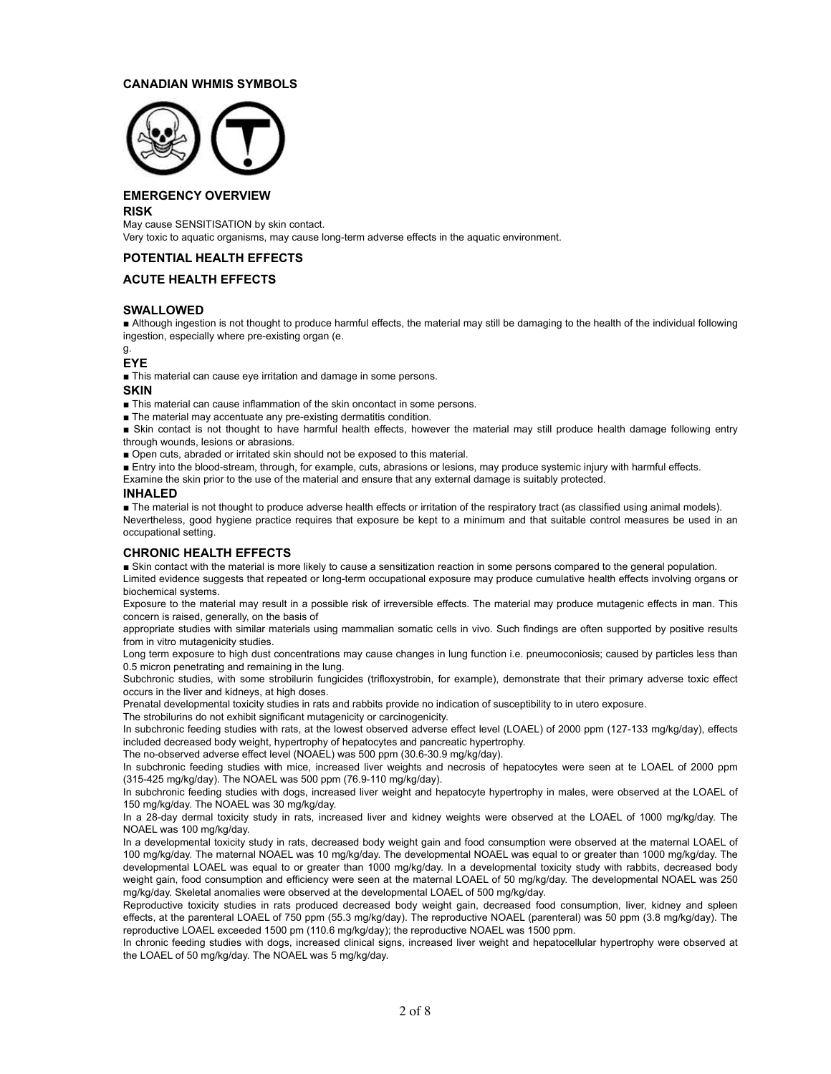## **CANADIAN WHMIS SYMBOLS**



## **EMERGENCY OVERVIEW**

**RISK**

May cause SENSITISATION by skin contact. Very toxic to aquatic organisms, may cause long-term adverse effects in the aquatic environment.

## **POTENTIAL HEALTH EFFECTS**

## **ACUTE HEALTH EFFECTS**

## **SWALLOWED**

**.** Although ingestion is not thought to produce harmful effects, the material may still be damaging to the health of the individual following ingestion, especially where pre-existing organ (e.

g.

#### **EYE**

**.** This material can cause eye irritation and damage in some persons.

**SKIN**

! This material can cause inflammation of the skin oncontact in some persons.

**. The material may accentuate any pre-existing dermatitis condition.** 

! Skin contact is not thought to have harmful health effects, however the material may still produce health damage following entry through wounds, lesions or abrasions.

**.** Open cuts, abraded or irritated skin should not be exposed to this material.

**Entry into the blood-stream, through, for example, cuts, abrasions or lesions, may produce systemic injury with harmful effects.** 

Examine the skin prior to the use of the material and ensure that any external damage is suitably protected.

#### **INHALED**

The material is not thought to produce adverse health effects or irritation of the respiratory tract (as classified using animal models). Nevertheless, good hygiene practice requires that exposure be kept to a minimum and that suitable control measures be used in an occupational setting.

## **CHRONIC HEALTH EFFECTS**

**.** Skin contact with the material is more likely to cause a sensitization reaction in some persons compared to the general population.

Limited evidence suggests that repeated or long-term occupational exposure may produce cumulative health effects involving organs or biochemical systems.

Exposure to the material may result in a possible risk of irreversible effects. The material may produce mutagenic effects in man. This concern is raised, generally, on the basis of

appropriate studies with similar materials using mammalian somatic cells in vivo. Such findings are often supported by positive results from in vitro mutagenicity studies.

Long term exposure to high dust concentrations may cause changes in lung function i.e. pneumoconiosis; caused by particles less than 0.5 micron penetrating and remaining in the lung.

Subchronic studies, with some strobilurin fungicides (trifloxystrobin, for example), demonstrate that their primary adverse toxic effect occurs in the liver and kidneys, at high doses.

Prenatal developmental toxicity studies in rats and rabbits provide no indication of susceptibility to in utero exposure.

The strobilurins do not exhibit significant mutagenicity or carcinogenicity.

In subchronic feeding studies with rats, at the lowest observed adverse effect level (LOAEL) of 2000 ppm (127-133 mg/kg/day), effects included decreased body weight, hypertrophy of hepatocytes and pancreatic hypertrophy.

The no-observed adverse effect level (NOAEL) was 500 ppm (30.6-30.9 mg/kg/day).

In subchronic feeding studies with mice, increased liver weights and necrosis of hepatocytes were seen at te LOAEL of 2000 ppm (315-425 mg/kg/day). The NOAEL was 500 ppm (76.9-110 mg/kg/day).

In subchronic feeding studies with dogs, increased liver weight and hepatocyte hypertrophy in males, were observed at the LOAEL of 150 mg/kg/day. The NOAEL was 30 mg/kg/day.

In a 28-day dermal toxicity study in rats, increased liver and kidney weights were observed at the LOAEL of 1000 mg/kg/day. The NOAEL was 100 mg/kg/day.

In a developmental toxicity study in rats, decreased body weight gain and food consumption were observed at the maternal LOAEL of 100 mg/kg/day. The maternal NOAEL was 10 mg/kg/day. The developmental NOAEL was equal to or greater than 1000 mg/kg/day. The developmental LOAEL was equal to or greater than 1000 mg/kg/day. In a developmental toxicity study with rabbits, decreased body weight gain, food consumption and efficiency were seen at the maternal LOAEL of 50 mg/kg/day. The developmental NOAEL was 250 mg/kg/day. Skeletal anomalies were observed at the developmental LOAEL of 500 mg/kg/day.

Reproductive toxicity studies in rats produced decreased body weight gain, decreased food consumption, liver, kidney and spleen effects, at the parenteral LOAEL of 750 ppm (55.3 mg/kg/day). The reproductive NOAEL (parenteral) was 50 ppm (3.8 mg/kg/day). The reproductive LOAEL exceeded 1500 pm (110.6 mg/kg/day); the reproductive NOAEL was 1500 ppm.

In chronic feeding studies with dogs, increased clinical signs, increased liver weight and hepatocellular hypertrophy were observed at the LOAEL of 50 mg/kg/day. The NOAEL was 5 mg/kg/day.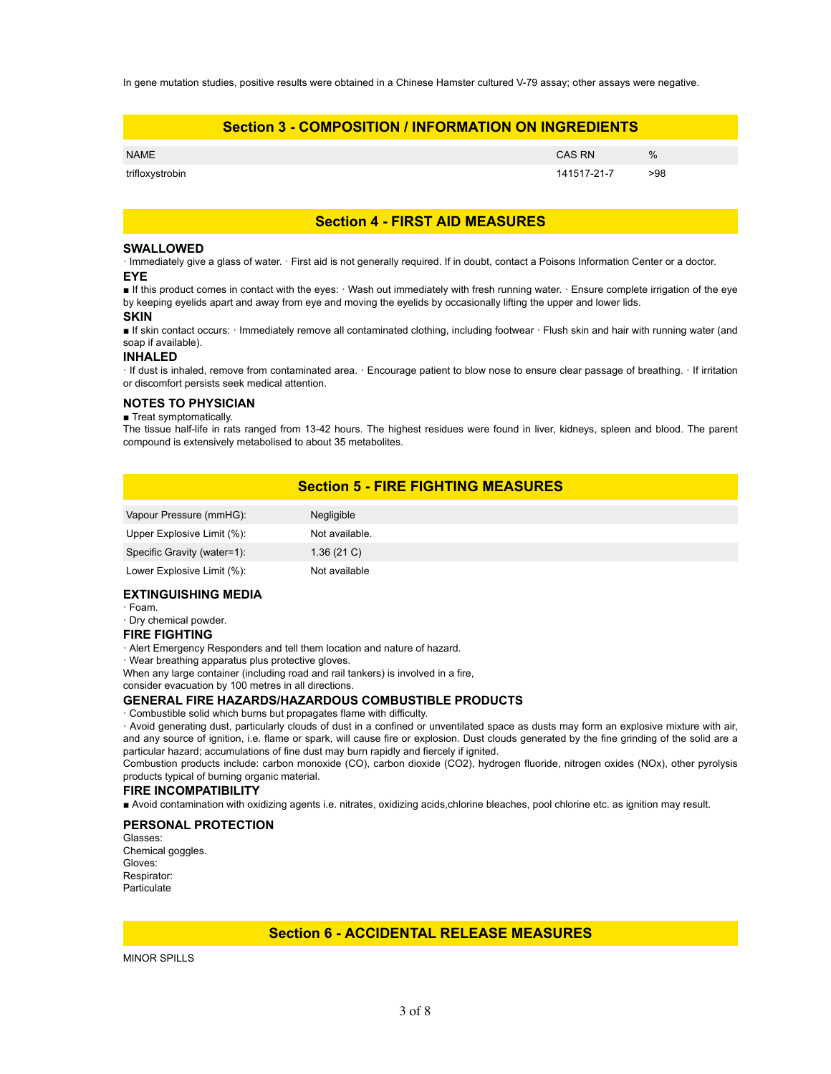In gene mutation studies, positive results were obtained in a Chinese Hamster cultured V-79 assay; other assays were negative.

|                 | <b>Section 3 - COMPOSITION / INFORMATION ON INGREDIENTS</b> |             |      |  |  |
|-----------------|-------------------------------------------------------------|-------------|------|--|--|
| <b>NAME</b>     |                                                             | CAS RN      | $\%$ |  |  |
| trifloxystrobin |                                                             | 141517-21-7 | >98  |  |  |

## **Section 4 - FIRST AID MEASURES**

#### **SWALLOWED**

" Immediately give a glass of water. " First aid is not generally required. If in doubt, contact a Poisons Information Center or a doctor. **EYE**

If this product comes in contact with the eyes: Wash out immediately with fresh running water. Ensure complete irrigation of the eye by keeping eyelids apart and away from eye and moving the eyelids by occasionally lifting the upper and lower lids.

#### **SKIN**

■ If skin contact occurs: · Immediately remove all contaminated clothing, including footwear · Flush skin and hair with running water (and soap if available).

#### **INHALED**

" If dust is inhaled, remove from contaminated area. " Encourage patient to blow nose to ensure clear passage of breathing. " If irritation or discomfort persists seek medical attention.

#### **NOTES TO PHYSICIAN**

#### **Treat symptomatically.**

The tissue half-life in rats ranged from 13-42 hours. The highest residues were found in liver, kidneys, spleen and blood. The parent compound is extensively metabolised to about 35 metabolites.

## **Section 5 - FIRE FIGHTING MEASURES**

| Vapour Pressure (mmHG):     | Negligible     |
|-----------------------------|----------------|
| Upper Explosive Limit (%):  | Not available. |
| Specific Gravity (water=1): | 1.36(21)       |
| Lower Explosive Limit (%):  | Not available  |

#### **EXTINGUISHING MEDIA**

" Foam.

· Dry chemical powder.

#### **FIRE FIGHTING**

" Alert Emergency Responders and tell them location and nature of hazard.

· Wear breathing apparatus plus protective gloves.

When any large container (including road and rail tankers) is involved in a fire,

consider evacuation by 100 metres in all directions.

#### **GENERAL FIRE HAZARDS/HAZARDOUS COMBUSTIBLE PRODUCTS**

" Combustible solid which burns but propagates flame with difficulty.

" Avoid generating dust, particularly clouds of dust in a confined or unventilated space as dusts may form an explosive mixture with air, and any source of ignition, i.e. flame or spark, will cause fire or explosion. Dust clouds generated by the fine grinding of the solid are a particular hazard; accumulations of fine dust may burn rapidly and fiercely if ignited.

Combustion products include: carbon monoxide (CO), carbon dioxide (CO2), hydrogen fluoride, nitrogen oxides (NOx), other pyrolysis products typical of burning organic material.

#### **FIRE INCOMPATIBILITY**

! Avoid contamination with oxidizing agents i.e. nitrates, oxidizing acids,chlorine bleaches, pool chlorine etc. as ignition may result.

#### **PERSONAL PROTECTION**

Glasses: Chemical goggles. Gloves: Respirator: **Particulate** 

## **Section 6 - ACCIDENTAL RELEASE MEASURES**

MINOR SPILLS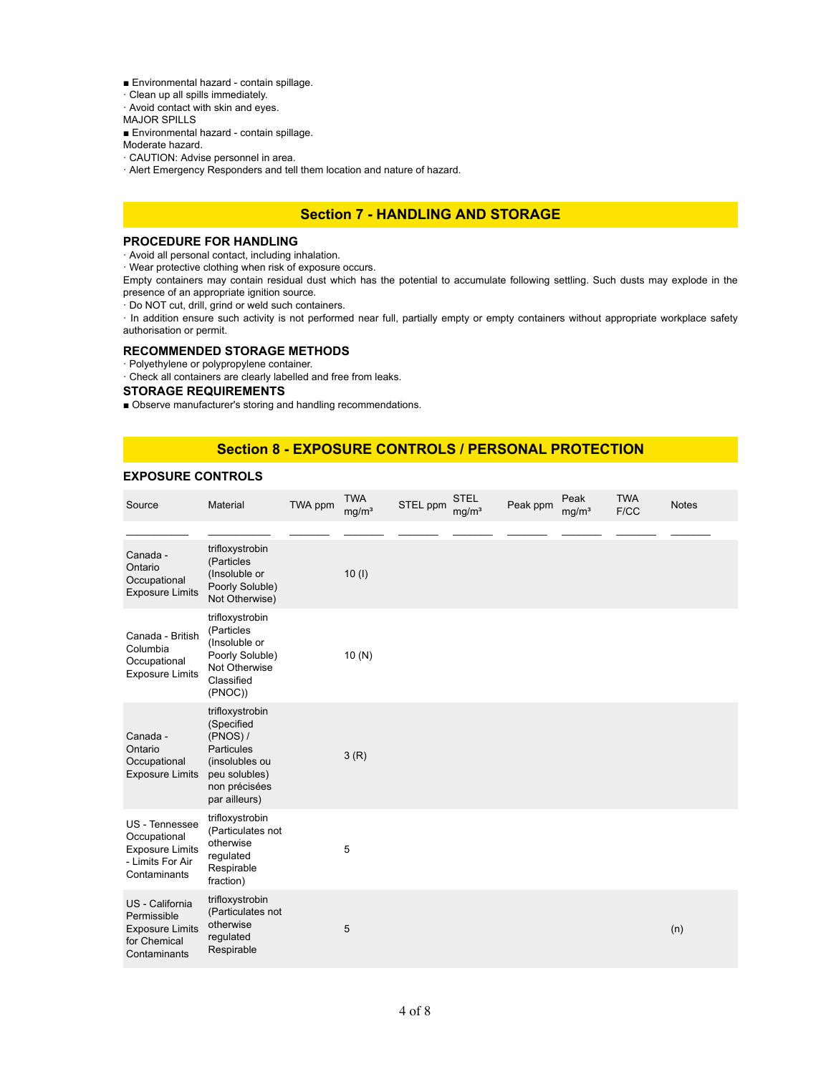- **Environmental hazard contain spillage.**
- $\cdot$  Clean up all spills immediately.
- · Avoid contact with skin and eyes.

MAJOR SPILLS

**Environmental hazard - contain spillage.** 

Moderate hazard.

- · CAUTION: Advise personnel in area.
- . Alert Emergency Responders and tell them location and nature of hazard.

## **Section 7 - HANDLING AND STORAGE**

#### **PROCEDURE FOR HANDLING**

" Avoid all personal contact, including inhalation.

" Wear protective clothing when risk of exposure occurs.

Empty containers may contain residual dust which has the potential to accumulate following settling. Such dusts may explode in the presence of an appropriate ignition source.

" Do NOT cut, drill, grind or weld such containers.

" In addition ensure such activity is not performed near full, partially empty or empty containers without appropriate workplace safety authorisation or permit.

#### **RECOMMENDED STORAGE METHODS**

" Polyethylene or polypropylene container.

" Check all containers are clearly labelled and free from leaks.

## **STORAGE REQUIREMENTS**

! Observe manufacturer's storing and handling recommendations.

## **Section 8 - EXPOSURE CONTROLS / PERSONAL PROTECTION**

## **EXPOSURE CONTROLS**

| Source                                                                                       | Material                                                                                                                              | TWA ppm | <b>TWA</b><br>mg/m <sup>3</sup> | STEL ppm | <b>STEL</b><br>mg/m <sup>3</sup> | Peak ppm | Peak<br>mg/m <sup>3</sup> | <b>TWA</b><br>F/CC | <b>Notes</b> |
|----------------------------------------------------------------------------------------------|---------------------------------------------------------------------------------------------------------------------------------------|---------|---------------------------------|----------|----------------------------------|----------|---------------------------|--------------------|--------------|
|                                                                                              |                                                                                                                                       |         |                                 |          |                                  |          |                           |                    |              |
| Canada -<br>Ontario<br>Occupational<br><b>Exposure Limits</b>                                | trifloxystrobin<br>(Particles<br>(Insoluble or<br>Poorly Soluble)<br>Not Otherwise)                                                   |         | 10(1)                           |          |                                  |          |                           |                    |              |
| Canada - British<br>Columbia<br>Occupational<br><b>Exposure Limits</b>                       | trifloxystrobin<br>(Particles<br>(Insoluble or<br>Poorly Soluble)<br>Not Otherwise<br>Classified<br>(PNOC))                           |         | 10(N)                           |          |                                  |          |                           |                    |              |
| Canada -<br>Ontario<br>Occupational<br><b>Exposure Limits</b>                                | trifloxystrobin<br>(Specified<br>$(PNOS)$ /<br><b>Particules</b><br>(insolubles ou<br>peu solubles)<br>non précisées<br>par ailleurs) |         | 3(R)                            |          |                                  |          |                           |                    |              |
| US - Tennessee<br>Occupational<br><b>Exposure Limits</b><br>- Limits For Air<br>Contaminants | trifloxystrobin<br>(Particulates not<br>otherwise<br>requlated<br>Respirable<br>fraction)                                             |         | 5                               |          |                                  |          |                           |                    |              |
| US - California<br>Permissible<br><b>Exposure Limits</b><br>for Chemical<br>Contaminants     | trifloxystrobin<br>(Particulates not<br>otherwise<br>regulated<br>Respirable                                                          |         | 5                               |          |                                  |          |                           |                    | (n)          |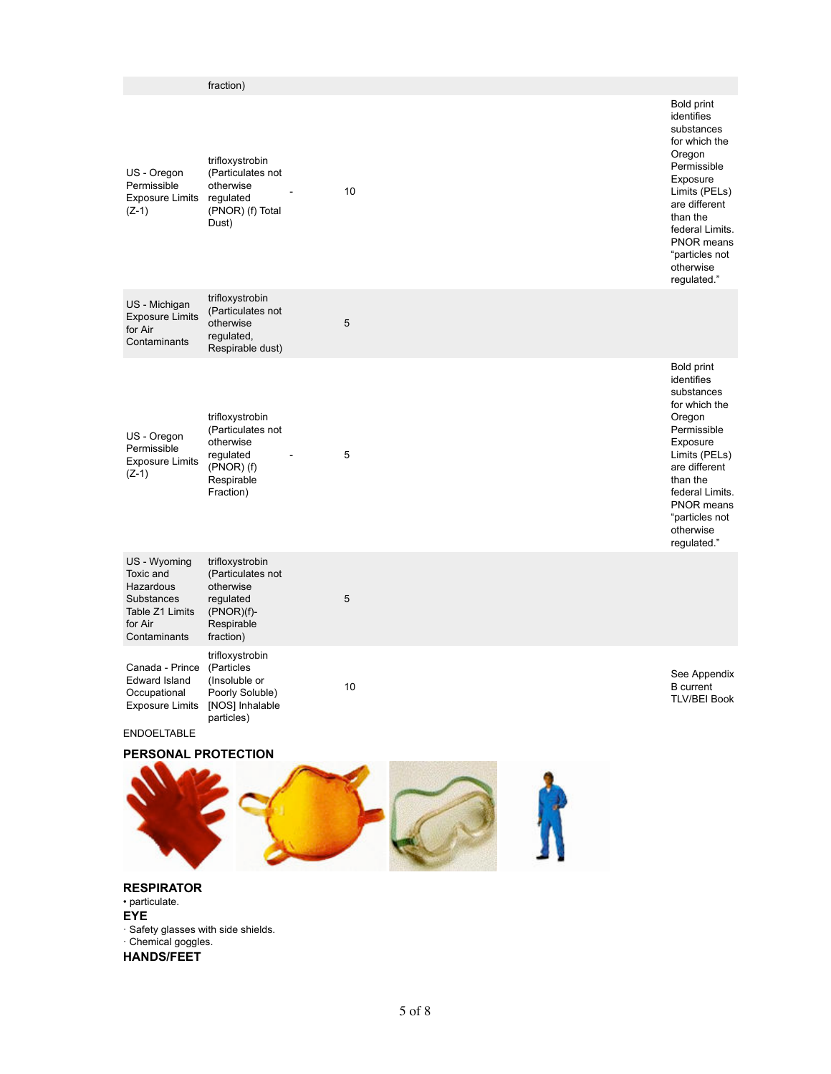|                                                                                                    | fraction)                                                                                                   |      |                                                                                                                                                                                                                                         |
|----------------------------------------------------------------------------------------------------|-------------------------------------------------------------------------------------------------------------|------|-----------------------------------------------------------------------------------------------------------------------------------------------------------------------------------------------------------------------------------------|
| US - Oregon<br>Permissible<br><b>Exposure Limits</b><br>$(Z-1)$                                    | trifloxystrobin<br>(Particulates not<br>otherwise<br>regulated<br>(PNOR) (f) Total<br>Dust)                 | 10   | <b>Bold print</b><br>identifies<br>substances<br>for which the<br>Oregon<br>Permissible<br>Exposure<br>Limits (PELs)<br>are different<br>than the<br>federal Limits.<br><b>PNOR means</b><br>"particles not<br>otherwise<br>regulated." |
| US - Michigan<br><b>Exposure Limits</b><br>for Air<br>Contaminants                                 | trifloxystrobin<br>(Particulates not<br>otherwise<br>regulated,<br>Respirable dust)                         | 5    |                                                                                                                                                                                                                                         |
| US - Oregon<br>Permissible<br><b>Exposure Limits</b><br>$(Z-1)$                                    | trifloxystrobin<br>(Particulates not<br>otherwise<br>regulated<br>$(PNOR)$ $(f)$<br>Respirable<br>Fraction) | 5    | <b>Bold print</b><br>identifies<br>substances<br>for which the<br>Oregon<br>Permissible<br>Exposure<br>Limits (PELs)<br>are different<br>than the<br>federal Limits.<br>PNOR means<br>"particles not<br>otherwise<br>regulated."        |
| US - Wyoming<br>Toxic and<br>Hazardous<br>Substances<br>Table Z1 Limits<br>for Air<br>Contaminants | trifloxystrobin<br>(Particulates not<br>otherwise<br>regulated<br>$(PNOR)(f)$ -<br>Respirable<br>fraction)  | 5    |                                                                                                                                                                                                                                         |
| Canada - Prince<br><b>Edward Island</b><br>Occupational<br><b>Exposure Limits</b>                  | trifloxystrobin<br>(Particles<br>(Insoluble or<br>Poorly Soluble)<br>[NOS] Inhalable<br>particles)          | $10$ | See Appendix<br><b>B</b> current<br><b>TLV/BEI Book</b>                                                                                                                                                                                 |
| <b>ENDOELTABLE</b>                                                                                 |                                                                                                             |      |                                                                                                                                                                                                                                         |
| PERSONAL PROTECTION                                                                                |                                                                                                             |      |                                                                                                                                                                                                                                         |
| <b>RESPIRATOR</b><br>• particulate.<br><b>EYE</b>                                                  |                                                                                                             |      |                                                                                                                                                                                                                                         |

" Safety glasses with side shields. · Chemical goggles. **HANDS/FEET**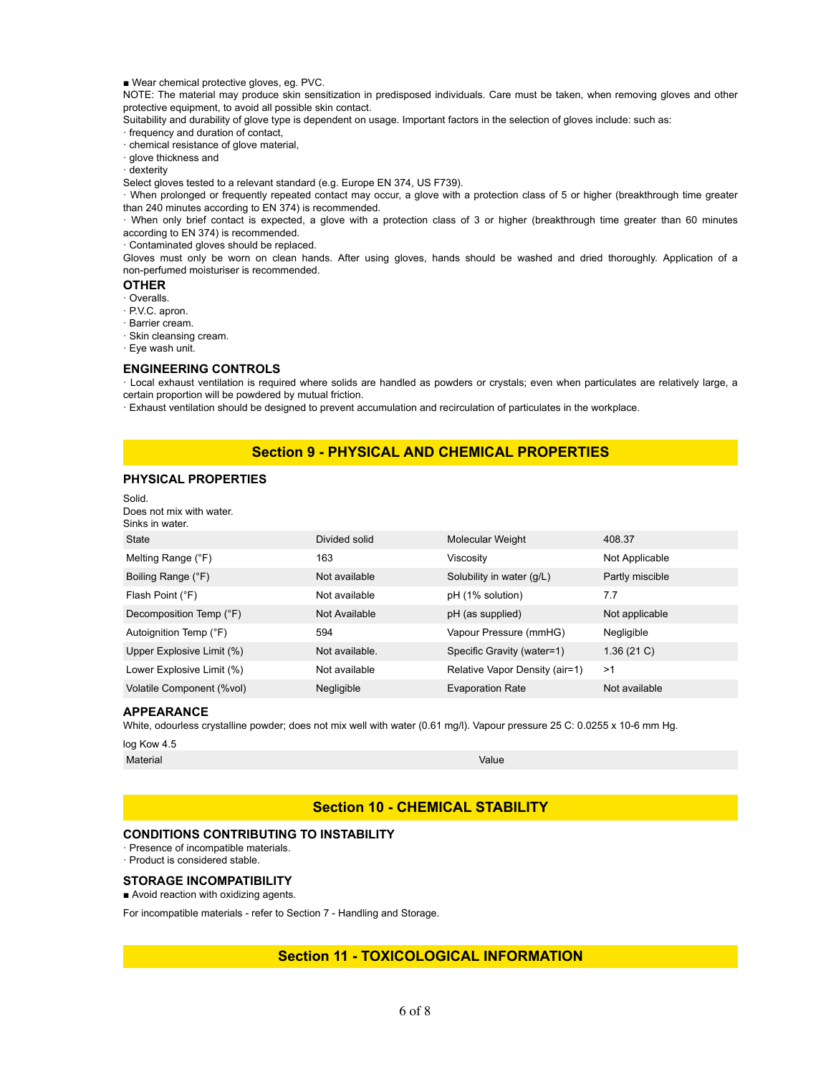■ Wear chemical protective gloves, eg. PVC.

NOTE: The material may produce skin sensitization in predisposed individuals. Care must be taken, when removing gloves and other protective equipment, to avoid all possible skin contact.

Suitability and durability of glove type is dependent on usage. Important factors in the selection of gloves include: such as:

" frequency and duration of contact,

" chemical resistance of glove material,

· glove thickness and

" dexterity

Select gloves tested to a relevant standard (e.g. Europe EN 374, US F739).

" When prolonged or frequently repeated contact may occur, a glove with a protection class of 5 or higher (breakthrough time greater than 240 minutes according to EN 374) is recommended.

" When only brief contact is expected, a glove with a protection class of 3 or higher (breakthrough time greater than 60 minutes according to EN 374) is recommended.

" Contaminated gloves should be replaced.

Gloves must only be worn on clean hands. After using gloves, hands should be washed and dried thoroughly. Application of a non-perfumed moisturiser is recommended.

#### **OTHER**

- " Overalls.
- " P.V.C. apron.
- · Barrier cream.
- · Skin cleansing cream.
- " Eye wash unit.

#### **ENGINEERING CONTROLS**

" Local exhaust ventilation is required where solids are handled as powders or crystals; even when particulates are relatively large, a certain proportion will be powdered by mutual friction.

" Exhaust ventilation should be designed to prevent accumulation and recirculation of particulates in the workplace.

## **Section 9 - PHYSICAL AND CHEMICAL PROPERTIES**

#### **PHYSICAL PROPERTIES**

| Solid.<br>Does not mix with water. |                |                                |                 |
|------------------------------------|----------------|--------------------------------|-----------------|
| Sinks in water.                    |                |                                |                 |
| State                              | Divided solid  | <b>Molecular Weight</b>        | 408.37          |
| Melting Range (°F)                 | 163            | Viscosity                      | Not Applicable  |
| Boiling Range (°F)                 | Not available  | Solubility in water (q/L)      | Partly miscible |
| Flash Point (°F)                   | Not available  | pH (1% solution)               | 7.7             |
| Decomposition Temp (°F)            | Not Available  | pH (as supplied)               | Not applicable  |
| Autoignition Temp (°F)             | 594            | Vapour Pressure (mmHG)         | Negligible      |
| Upper Explosive Limit (%)          | Not available. | Specific Gravity (water=1)     | 1.36(21)        |
| Lower Explosive Limit (%)          | Not available  | Relative Vapor Density (air=1) | >1              |
| Volatile Component (%vol)          | Negligible     | <b>Evaporation Rate</b>        | Not available   |

#### **APPEARANCE**

White, odourless crystalline powder; does not mix well with water (0.61 mg/l). Vapour pressure 25 C: 0.0255 x 10-6 mm Hg.

log Kow 4.5

Material **Material According to the Contract of Contract According to the Contract O** 

## **Section 10 - CHEMICAL STABILITY**

## **CONDITIONS CONTRIBUTING TO INSTABILITY**

· Presence of incompatible materials.

· Product is considered stable.

#### **STORAGE INCOMPATIBILITY**

**E** Avoid reaction with oxidizing agents.

For incompatible materials - refer to Section 7 - Handling and Storage.

## **Section 11 - TOXICOLOGICAL INFORMATION**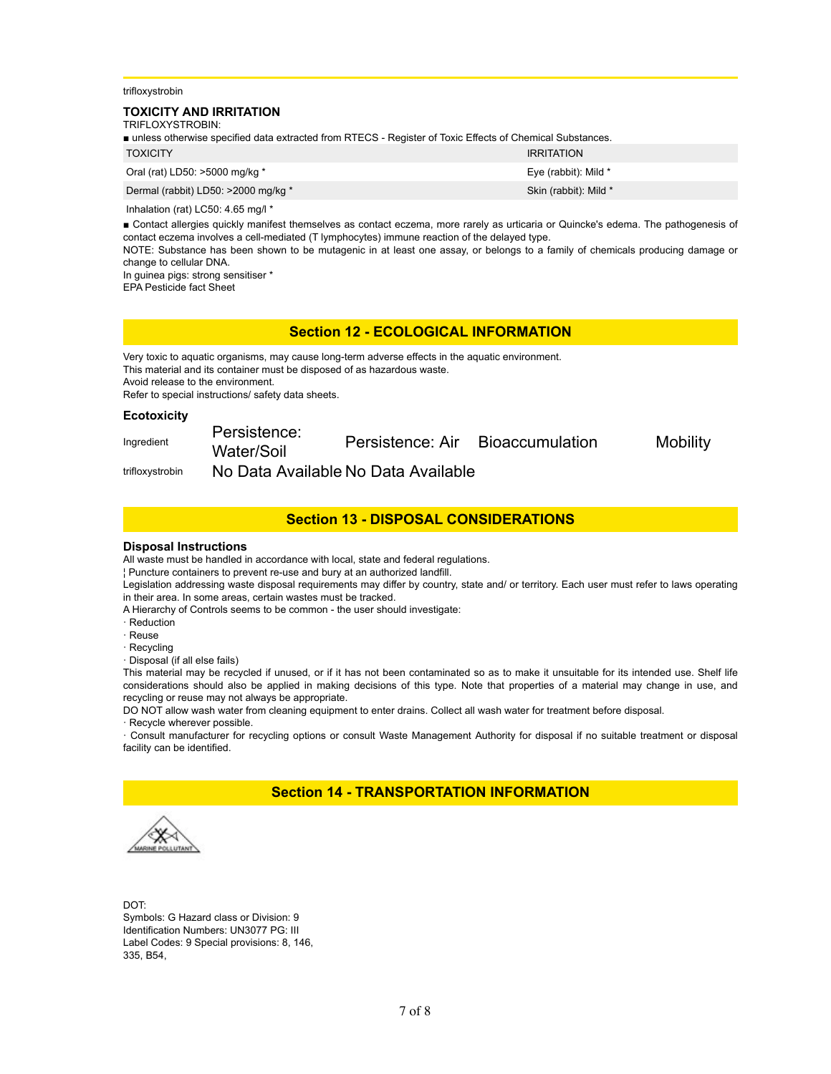trifloxystrobin

#### **TOXICITY AND IRRITATION** TRIFLOXYSTROBIN<sup>.</sup>

| ■ unless otherwise specified data extracted from RTECS - Register of Toxic Effects of Chemical Substances. |                       |  |  |  |  |
|------------------------------------------------------------------------------------------------------------|-----------------------|--|--|--|--|
| <b>TOXICITY</b>                                                                                            | <b>IRRITATION</b>     |  |  |  |  |
| Oral (rat) LD50: >5000 mg/kg *                                                                             | Eye (rabbit): Mild *  |  |  |  |  |
| Dermal (rabbit) LD50: >2000 mg/kg *                                                                        | Skin (rabbit): Mild * |  |  |  |  |

Inhalation (rat) LC50: 4.65 mg/l \*

! Contact allergies quickly manifest themselves as contact eczema, more rarely as urticaria or Quincke's edema. The pathogenesis of contact eczema involves a cell-mediated (T lymphocytes) immune reaction of the delayed type.

NOTE: Substance has been shown to be mutagenic in at least one assay, or belongs to a family of chemicals producing damage or change to cellular DNA.

In guinea pigs: strong sensitiser \* EPA Pesticide fact Sheet

## **Section 12 - ECOLOGICAL INFORMATION**

Very toxic to aquatic organisms, may cause long-term adverse effects in the aquatic environment. This material and its container must be disposed of as hazardous waste. Avoid release to the environment.

Refer to special instructions/ safety data sheets.

#### **Ecotoxicity**

| Ingredient      | Persistence:<br>Water/Soil | Persistence: Air                    | Bioaccumulation | <b>Mobility</b> |
|-----------------|----------------------------|-------------------------------------|-----------------|-----------------|
| trifloxystrobin |                            | No Data Available No Data Available |                 |                 |

## **Section 13 - DISPOSAL CONSIDERATIONS**

#### **Disposal Instructions**

All waste must be handled in accordance with local, state and federal regulations.

\$ Puncture containers to prevent re-use and bury at an authorized landfill.

Legislation addressing waste disposal requirements may differ by country, state and/ or territory. Each user must refer to laws operating in their area. In some areas, certain wastes must be tracked.

A Hierarchy of Controls seems to be common - the user should investigate:

- · Reduction
- " Reuse
- · Recycling
- " Disposal (if all else fails)

This material may be recycled if unused, or if it has not been contaminated so as to make it unsuitable for its intended use. Shelf life considerations should also be applied in making decisions of this type. Note that properties of a material may change in use, and recycling or reuse may not always be appropriate.

DO NOT allow wash water from cleaning equipment to enter drains. Collect all wash water for treatment before disposal.

· Recycle wherever possible.

" Consult manufacturer for recycling options or consult Waste Management Authority for disposal if no suitable treatment or disposal facility can be identified.

## **Section 14 - TRANSPORTATION INFORMATION**

DOT: Symbols: G Hazard class or Division: 9 Identification Numbers: UN3077 PG: III Label Codes: 9 Special provisions: 8, 146, 335, B54,